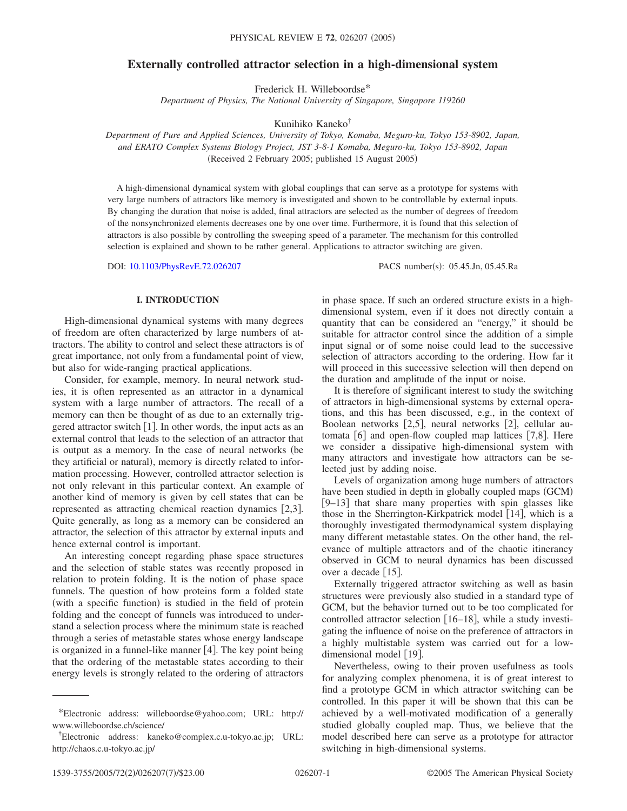# **Externally controlled attractor selection in a high-dimensional system**

Frederick H. Willeboordse\*

*Department of Physics, The National University of Singapore, Singapore 119260*

Kunihiko Kaneko†

*Department of Pure and Applied Sciences, University of Tokyo, Komaba, Meguro-ku, Tokyo 153-8902, Japan, and ERATO Complex Systems Biology Project, JST 3-8-1 Komaba, Meguro-ku, Tokyo 153-8902, Japan* (Received 2 February 2005; published 15 August 2005)

A high-dimensional dynamical system with global couplings that can serve as a prototype for systems with very large numbers of attractors like memory is investigated and shown to be controllable by external inputs. By changing the duration that noise is added, final attractors are selected as the number of degrees of freedom of the nonsynchronized elements decreases one by one over time. Furthermore, it is found that this selection of attractors is also possible by controlling the sweeping speed of a parameter. The mechanism for this controlled selection is explained and shown to be rather general. Applications to attractor switching are given.

DOI: [10.1103/PhysRevE.72.026207](http://dx.doi.org/10.1103/PhysRevE.72.026207)

PACS number(s): 05.45.Jn, 05.45.Ra

# **I. INTRODUCTION**

High-dimensional dynamical systems with many degrees of freedom are often characterized by large numbers of attractors. The ability to control and select these attractors is of great importance, not only from a fundamental point of view, but also for wide-ranging practical applications.

Consider, for example, memory. In neural network studies, it is often represented as an attractor in a dynamical system with a large number of attractors. The recall of a memory can then be thought of as due to an externally triggered attractor switch  $\lceil 1 \rceil$ . In other words, the input acts as an external control that leads to the selection of an attractor that is output as a memory. In the case of neural networks (be they artificial or natural), memory is directly related to information processing. However, controlled attractor selection is not only relevant in this particular context. An example of another kind of memory is given by cell states that can be represented as attracting chemical reaction dynamics  $[2,3]$ . Quite generally, as long as a memory can be considered an attractor, the selection of this attractor by external inputs and hence external control is important.

An interesting concept regarding phase space structures and the selection of stable states was recently proposed in relation to protein folding. It is the notion of phase space funnels. The question of how proteins form a folded state (with a specific function) is studied in the field of protein folding and the concept of funnels was introduced to understand a selection process where the minimum state is reached through a series of metastable states whose energy landscape is organized in a funnel-like manner  $[4]$ . The key point being that the ordering of the metastable states according to their energy levels is strongly related to the ordering of attractors in phase space. If such an ordered structure exists in a highdimensional system, even if it does not directly contain a quantity that can be considered an "energy," it should be suitable for attractor control since the addition of a simple input signal or of some noise could lead to the successive selection of attractors according to the ordering. How far it will proceed in this successive selection will then depend on the duration and amplitude of the input or noise.

It is therefore of significant interest to study the switching of attractors in high-dimensional systems by external operations, and this has been discussed, e.g., in the context of Boolean networks [2,5], neural networks [2], cellular automata  $[6]$  and open-flow coupled map lattices  $[7,8]$ . Here we consider a dissipative high-dimensional system with many attractors and investigate how attractors can be selected just by adding noise.

Levels of organization among huge numbers of attractors have been studied in depth in globally coupled maps (GCM) [9–13] that share many properties with spin glasses like those in the Sherrington-Kirkpatrick model [14], which is a thoroughly investigated thermodynamical system displaying many different metastable states. On the other hand, the relevance of multiple attractors and of the chaotic itinerancy observed in GCM to neural dynamics has been discussed over a decade [15].

Externally triggered attractor switching as well as basin structures were previously also studied in a standard type of GCM, but the behavior turned out to be too complicated for controlled attractor selection  $[16–18]$ , while a study investigating the influence of noise on the preference of attractors in a highly multistable system was carried out for a lowdimensional model [19].

Nevertheless, owing to their proven usefulness as tools for analyzing complex phenomena, it is of great interest to find a prototype GCM in which attractor switching can be controlled. In this paper it will be shown that this can be achieved by a well-motivated modification of a generally studied globally coupled map. Thus, we believe that the model described here can serve as a prototype for attractor switching in high-dimensional systems.

<sup>\*</sup>Electronic address: willeboordse@yahoo.com; URL: http:// www.willeboordse.ch/science/

<sup>†</sup> Electronic address: kaneko@complex.c.u-tokyo.ac.jp; URL: http://chaos.c.u-tokyo.ac.jp/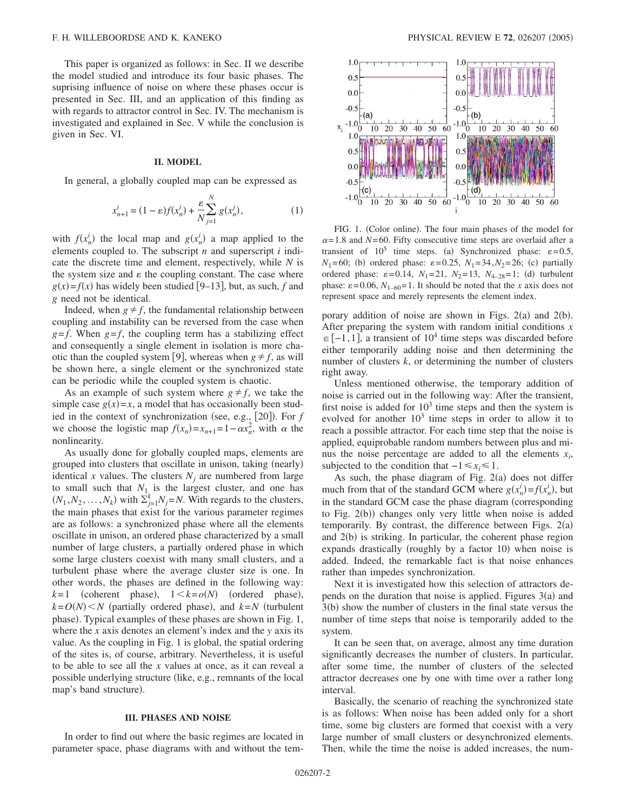This paper is organized as follows: in Sec. II we describe the model studied and introduce its four basic phases. The suprising influence of noise on where these phases occur is presented in Sec. III, and an application of this finding as with regards to attractor control in Sec. IV. The mechanism is investigated and explained in Sec. V while the conclusion is given in Sec. VI.

### **II. MODEL**

In general, a globally coupled map can be expressed as

$$
x_{n+1}^{i} = (1 - \varepsilon)f(x_n^{i}) + \frac{\varepsilon}{N} \sum_{j=1}^{N} g(x_n^{j}),
$$
 (1)

with  $f(x_n^i)$  the local map and  $g(x_n^i)$  a map applied to the elements coupled to. The subscript *n* and superscript *i* indicate the discrete time and element, respectively, while *N* is the system size and  $\varepsilon$  the coupling constant. The case where  $g(x) = f(x)$  has widely been studied [9–13], but, as such, *f* and *g* need not be identical.

Indeed, when  $g \neq f$ , the fundamental relationship between coupling and instability can be reversed from the case when  $g = f$ . When  $g = f$ , the coupling term has a stabilizing effect and consequently a single element in isolation is more chaotic than the coupled system [9], whereas when  $g \neq f$ , as will be shown here, a single element or the synchronized state can be periodic while the coupled system is chaotic.

As an example of such system where  $g \neq f$ , we take the simple case  $g(x)=x$ , a model that has occasionally been studied in the context of synchronization (see, e.g., [20]). For *f* we choose the logistic map  $f(x_n) = x_{n+1} = 1 - \alpha x_n^2$ , with  $\alpha$  the nonlinearity.

As usually done for globally coupled maps, elements are grouped into clusters that oscillate in unison, taking (nearly) identical *x* values. The clusters  $N_i$  are numbered from large to small such that  $N_1$  is the largest cluster, and one has  $(N_1, N_2, \ldots, N_k)$  with  $\sum_{j=1}^k N_j = N$ . With regards to the clusters, the main phases that exist for the various parameter regimes are as follows: a synchronized phase where all the elements oscillate in unison, an ordered phase characterized by a small number of large clusters, a partially ordered phase in which some large clusters coexist with many small clusters, and a turbulent phase where the average cluster size is one. In other words, the phases are defined in the following way:  $k=1$  (coherent phase),  $1 \le k = o(N)$  (ordered phase),  $k = O(N)$  < *N* (partially ordered phase), and  $k = N$  (turbulent phase). Typical examples of these phases are shown in Fig. 1, where the *x* axis denotes an element's index and the *y* axis its value. As the coupling in Fig. 1 is global, the spatial ordering of the sites is, of course, arbitrary. Nevertheless, it is useful to be able to see all the *x* values at once, as it can reveal a possible underlying structure (like, e.g., remnants of the local map's band structure).

#### **III. PHASES AND NOISE**

In order to find out where the basic regimes are located in parameter space, phase diagrams with and without the tem-



FIG. 1. (Color online). The four main phases of the model for  $\alpha$ =1.8 and *N*=60. Fifty consecutive time steps are overlaid after a transient of  $10^5$  time steps. (a) Synchronized phase:  $\varepsilon = 0.5$ ,  $N_1 = 60$ ; (b) ordered phase:  $\varepsilon = 0.25$ ,  $N_1 = 34$ ,  $N_2 = 26$ ; (c) partially ordered phase:  $\varepsilon = 0.14$ ,  $N_1 = 21$ ,  $N_2 = 13$ ,  $N_{4-28} = 1$ ; (d) turbulent phase:  $\varepsilon = 0.06$ ,  $N_{1-60} = 1$ . It should be noted that the *x* axis does not represent space and merely represents the element index.

porary addition of noise are shown in Figs.  $2(a)$  and  $2(b)$ . After preparing the system with random initial conditions *x*  $\in [-1,1]$ , a transient of 10<sup>4</sup> time steps was discarded before either temporarily adding noise and then determining the number of clusters *k*, or determining the number of clusters right away.

Unless mentioned otherwise, the temporary addition of noise is carried out in the following way: After the transient, first noise is added for  $10<sup>3</sup>$  time steps and then the system is evolved for another  $10<sup>3</sup>$  time steps in order to allow it to reach a possible attractor. For each time step that the noise is applied, equiprobable random numbers between plus and minus the noise percentage are added to all the elements  $x_i$ , subjected to the condition that  $-1 \le x_i \le 1$ .

As such, the phase diagram of Fig.  $2(a)$  does not differ much from that of the standard GCM where  $g(x_n^i) = f(x_n^i)$ , but in the standard GCM case the phase diagram (corresponding to Fig. 2(b)) changes only very little when noise is added temporarily. By contrast, the difference between Figs.  $2(a)$ and 2(b) is striking. In particular, the coherent phase region expands drastically (roughly by a factor 10) when noise is added. Indeed, the remarkable fact is that noise enhances rather than impedes synchronization.

Next it is investigated how this selection of attractors depends on the duration that noise is applied. Figures  $3(a)$  and 3(b) show the number of clusters in the final state versus the number of time steps that noise is temporarily added to the system.

It can be seen that, on average, almost any time duration significantly decreases the number of clusters. In particular, after some time, the number of clusters of the selected attractor decreases one by one with time over a rather long interval.

Basically, the scenario of reaching the synchronized state is as follows: When noise has been added only for a short time, some big clusters are formed that coexist with a very large number of small clusters or desynchronized elements. Then, while the time the noise is added increases, the num-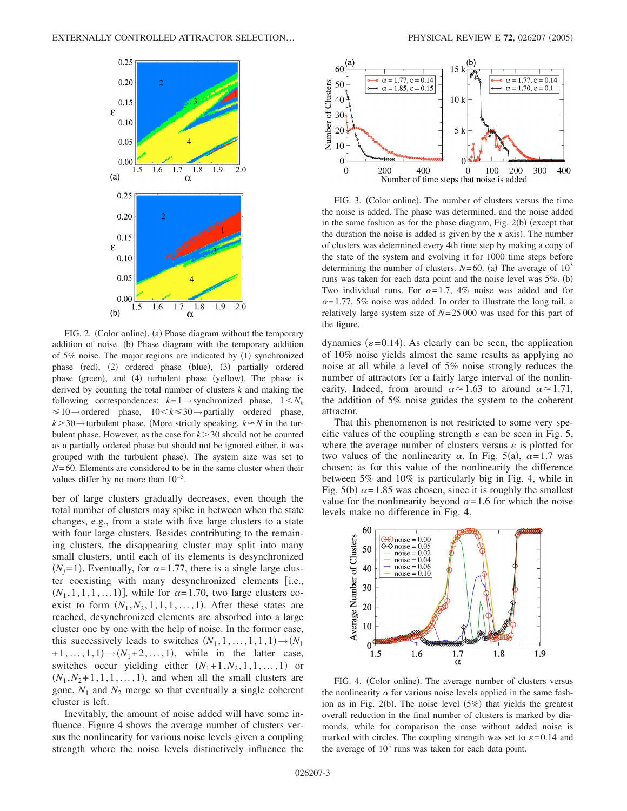

FIG. 2. (Color online). (a) Phase diagram without the temporary addition of noise. (b) Phase diagram with the temporary addition of 5% noise. The major regions are indicated by (1) synchronized phase (red), (2) ordered phase (blue), (3) partially ordered phase (green), and (4) turbulent phase (yellow). The phase is derived by counting the total number of clusters *k* and making the following correspondences:  $k=1 \rightarrow$ synchronized phase,  $1 \leq N_k$  $\leq 10 \rightarrow$ ordered phase,  $10 < k \leq 30 \rightarrow$  partially ordered phase,  $k > 30 \rightarrow$  turbulent phase. (More strictly speaking,  $k \approx N$  in the turbulent phase. However, as the case for  $k > 30$  should not be counted as a partially ordered phase but should not be ignored either, it was grouped with the turbulent phase). The system size was set to *N*=60. Elements are considered to be in the same cluster when their values differ by no more than  $10^{-5}$ .

ber of large clusters gradually decreases, even though the total number of clusters may spike in between when the state changes, e.g., from a state with five large clusters to a state with four large clusters. Besides contributing to the remaining clusters, the disappearing cluster may split into many small clusters, until each of its elements is desynchronized  $(N_j=1)$ . Eventually, for  $\alpha=1.77$ , there is a single large cluster coexisting with many desynchronized elements [i.e.,  $(N_1, 1, 1, 1, \ldots 1)$ , while for  $\alpha = 1.70$ , two large clusters coexist to form  $(N_1, N_2, 1, 1, 1, \ldots, 1)$ . After these states are reached, desynchronized elements are absorbed into a large cluster one by one with the help of noise. In the former case, this successively leads to switches  $(N_1, 1, \ldots, 1, 1, 1) \rightarrow (N_1)$  $+1, \ldots, 1, 1) \rightarrow (N_1 + 2, \ldots, 1)$ , while in the latter case, switches occur yielding either  $(N_1+1, N_2, 1, 1, \ldots, 1)$  or  $(N_1, N_2+1, 1, 1, \ldots, 1)$ , and when all the small clusters are gone,  $N_1$  and  $N_2$  merge so that eventually a single coherent cluster is left.

Inevitably, the amount of noise added will have some influence. Figure 4 shows the average number of clusters versus the nonlinearity for various noise levels given a coupling strength where the noise levels distinctively influence the



FIG. 3. (Color online). The number of clusters versus the time the noise is added. The phase was determined, and the noise added in the same fashion as for the phase diagram, Fig.  $2(b)$  (except that the duration the noise is added is given by the  $x$  axis). The number of clusters was determined every 4th time step by making a copy of the state of the system and evolving it for 1000 time steps before determining the number of clusters.  $N=60$ . (a) The average of  $10^3$ runs was taken for each data point and the noise level was 5%. (b) Two individual runs. For  $\alpha = 1.7$ , 4% noise was added and for  $\alpha$ =1.77, 5% noise was added. In order to illustrate the long tail, a relatively large system size of *N*=25 000 was used for this part of the figure.

dynamics ( $\varepsilon$ =0.14). As clearly can be seen, the application of 10% noise yields almost the same results as applying no noise at all while a level of 5% noise strongly reduces the number of attractors for a fairly large interval of the nonlinearity. Indeed, from around  $\alpha \approx 1.63$  to around  $\alpha \approx 1.71$ , the addition of 5% noise guides the system to the coherent attractor.

That this phenomenon is not restricted to some very specific values of the coupling strength  $\varepsilon$  can be seen in Fig. 5, where the average number of clusters versus  $\varepsilon$  is plotted for two values of the nonlinearity  $\alpha$ . In Fig. 5(a),  $\alpha = 1.7$  was chosen; as for this value of the nonlinearity the difference between 5% and 10% is particularly big in Fig. 4, while in Fig. 5(b)  $\alpha$ =1.85 was chosen, since it is roughly the smallest value for the nonlinearity beyond  $\alpha = 1.6$  for which the noise levels make no difference in Fig. 4.



FIG. 4. (Color online). The average number of clusters versus the nonlinearity  $\alpha$  for various noise levels applied in the same fashion as in Fig. 2(b). The noise level  $(5%)$  that yields the greatest overall reduction in the final number of clusters is marked by diamonds, while for comparison the case without added noise is marked with circles. The coupling strength was set to  $\varepsilon$ =0.14 and the average of  $10<sup>3</sup>$  runs was taken for each data point.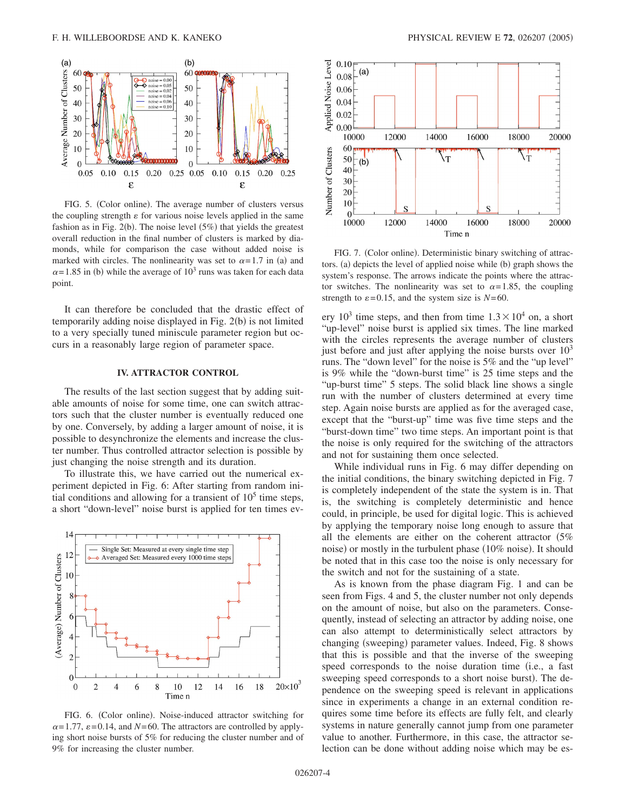

FIG. 5. (Color online). The average number of clusters versus the coupling strength  $\varepsilon$  for various noise levels applied in the same fashion as in Fig.  $2(b)$ . The noise level  $(5%)$  that yields the greatest overall reduction in the final number of clusters is marked by diamonds, while for comparison the case without added noise is marked with circles. The nonlinearity was set to  $\alpha = 1.7$  in (a) and  $\alpha$ =1.85 in (b) while the average of 10<sup>3</sup> runs was taken for each data point.

It can therefore be concluded that the drastic effect of temporarily adding noise displayed in Fig. 2(b) is not limited to a very specially tuned miniscule parameter region but occurs in a reasonably large region of parameter space.

## **IV. ATTRACTOR CONTROL**

The results of the last section suggest that by adding suitable amounts of noise for some time, one can switch attractors such that the cluster number is eventually reduced one by one. Conversely, by adding a larger amount of noise, it is possible to desynchronize the elements and increase the cluster number. Thus controlled attractor selection is possible by just changing the noise strength and its duration.

To illustrate this, we have carried out the numerical experiment depicted in Fig. 6: After starting from random initial conditions and allowing for a transient of  $10<sup>5</sup>$  time steps, a short "down-level" noise burst is applied for ten times ev-



FIG. 6. (Color online). Noise-induced attractor switching for  $\alpha$ =1.77,  $\varepsilon$ =0.14, and *N*=60. The attractors are controlled by applying short noise bursts of 5% for reducing the cluster number and of 9% for increasing the cluster number.



FIG. 7. (Color online). Deterministic binary switching of attractors. (a) depicts the level of applied noise while (b) graph shows the system's response. The arrows indicate the points where the attractor switches. The nonlinearity was set to  $\alpha = 1.85$ , the coupling strength to  $\varepsilon$ =0.15, and the system size is *N*=60.

ery  $10^3$  time steps, and then from time  $1.3 \times 10^4$  on, a short "up-level" noise burst is applied six times. The line marked with the circles represents the average number of clusters just before and just after applying the noise bursts over  $10<sup>3</sup>$ runs. The "down level" for the noise is 5% and the "up level" is 9% while the "down-burst time" is 25 time steps and the "up-burst time" 5 steps. The solid black line shows a single run with the number of clusters determined at every time step. Again noise bursts are applied as for the averaged case, except that the "burst-up" time was five time steps and the "burst-down time" two time steps. An important point is that the noise is only required for the switching of the attractors and not for sustaining them once selected.

While individual runs in Fig. 6 may differ depending on the initial conditions, the binary switching depicted in Fig. 7 is completely independent of the state the system is in. That is, the switching is completely deterministic and hence could, in principle, be used for digital logic. This is achieved by applying the temporary noise long enough to assure that all the elements are either on the coherent attractor  $(5\%$ noise) or mostly in the turbulent phase (10% noise). It should be noted that in this case too the noise is only necessary for the switch and not for the sustaining of a state.

As is known from the phase diagram Fig. 1 and can be seen from Figs. 4 and 5, the cluster number not only depends on the amount of noise, but also on the parameters. Consequently, instead of selecting an attractor by adding noise, one can also attempt to deterministically select attractors by changing (sweeping) parameter values. Indeed, Fig. 8 shows that this is possible and that the inverse of the sweeping speed corresponds to the noise duration time (i.e., a fast sweeping speed corresponds to a short noise burst). The dependence on the sweeping speed is relevant in applications since in experiments a change in an external condition requires some time before its effects are fully felt, and clearly systems in nature generally cannot jump from one parameter value to another. Furthermore, in this case, the attractor selection can be done without adding noise which may be es-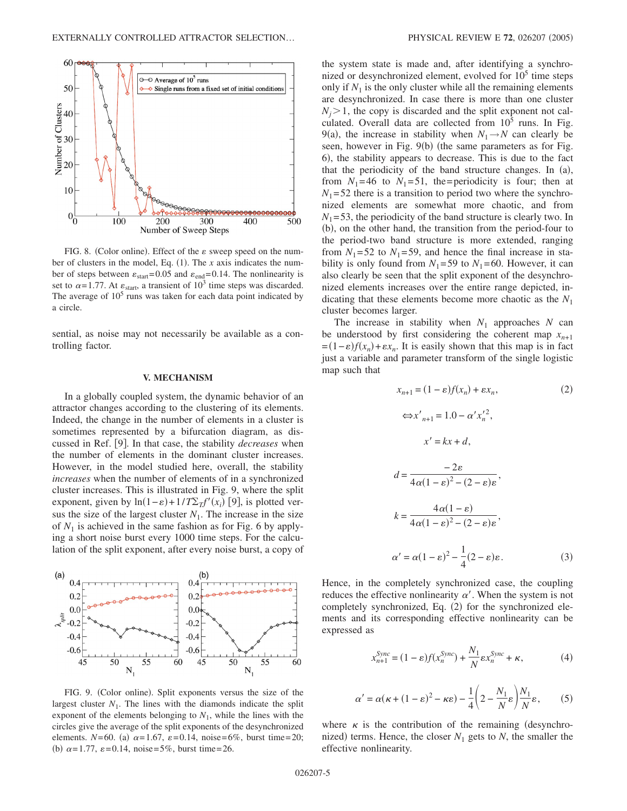

FIG. 8. (Color online). Effect of the  $\varepsilon$  sweep speed on the number of clusters in the model, Eq.  $(1)$ . The *x* axis indicates the number of steps between  $\varepsilon_{start}$ =0.05 and  $\varepsilon_{end}$ =0.14. The nonlinearity is set to  $\alpha$ =1.77. At  $\varepsilon_{\text{start}}$ , a transient of 10<sup>3</sup> time steps was discarded. The average of  $10<sup>5</sup>$  runs was taken for each data point indicated by a circle.

sential, as noise may not necessarily be available as a controlling factor.

#### **V. MECHANISM**

In a globally coupled system, the dynamic behavior of an attractor changes according to the clustering of its elements. Indeed, the change in the number of elements in a cluster is sometimes represented by a bifurcation diagram, as discussed in Ref. [9]. In that case, the stability *decreases* when the number of elements in the dominant cluster increases. However, in the model studied here, overall, the stability *increases* when the number of elements of in a synchronized cluster increases. This is illustrated in Fig. 9, where the split exponent, given by  $\ln(1-\varepsilon) + 1/T \sum_{T} f'(x_i)$  [9], is plotted versus the size of the largest cluster  $N_1$ . The increase in the size of  $N_1$  is achieved in the same fashion as for Fig. 6 by applying a short noise burst every 1000 time steps. For the calculation of the split exponent, after every noise burst, a copy of



FIG. 9. (Color online). Split exponents versus the size of the largest cluster  $N_1$ . The lines with the diamonds indicate the split exponent of the elements belonging to  $N_1$ , while the lines with the circles give the average of the split exponents of the desynchronized elements. *N*=60. (a)  $\alpha$ =1.67,  $\varepsilon$ =0.14, noise=6%, burst time=20; (b)  $\alpha = 1.77$ ,  $\varepsilon = 0.14$ , noise=5%, burst time=26.

the system state is made and, after identifying a synchronized or desynchronized element, evolved for  $10<sup>5</sup>$  time steps only if  $N_1$  is the only cluster while all the remaining elements are desynchronized. In case there is more than one cluster  $N_i$  > 1, the copy is discarded and the split exponent not calculated. Overall data are collected from  $10^5$  runs. In Fig. 9(a), the increase in stability when  $N_1 \rightarrow N$  can clearly be seen, however in Fig. 9(b) (the same parameters as for Fig. 6), the stability appears to decrease. This is due to the fact that the periodicity of the band structure changes. In (a), from  $N_1$ =46 to  $N_1$ =51, the=periodicity is four; then at  $N_1$ =52 there is a transition to period two where the synchronized elements are somewhat more chaotic, and from  $N_1$ =53, the periodicity of the band structure is clearly two. In (b), on the other hand, the transition from the period-four to the period-two band structure is more extended, ranging from  $N_1$ =52 to  $N_1$ =59, and hence the final increase in stability is only found from  $N_1$ =59 to  $N_1$ =60. However, it can also clearly be seen that the split exponent of the desynchronized elements increases over the entire range depicted, indicating that these elements become more chaotic as the *N*<sup>1</sup> cluster becomes larger.

The increase in stability when  $N_1$  approaches  $N$  can be understood by first considering the coherent map  $x_{n+1}$  $f(x_n) = (1 - \varepsilon)f(x_n) + \varepsilon x_n$ . It is easily shown that this map is in fact just a variable and parameter transform of the single logistic map such that

$$
x_{n+1} = (1 - \varepsilon)f(x_n) + \varepsilon x_n,
$$
\n(2)  
\n
$$
\Leftrightarrow x'_{n+1} = 1.0 - \alpha' x_n'^2,
$$
\n
$$
x' = kx + d,
$$
\n
$$
d = \frac{-2\varepsilon}{4\alpha(1 - \varepsilon)^2 - (2 - \varepsilon)\varepsilon},
$$
\n
$$
k = \frac{4\alpha(1 - \varepsilon)}{4\alpha(1 - \varepsilon)^2 - (2 - \varepsilon)\varepsilon},
$$
\n
$$
\alpha' = \alpha(1 - \varepsilon)^2 - \frac{1}{4}(2 - \varepsilon)\varepsilon.
$$
\n(3)

Hence, in the completely synchronized case, the coupling reduces the effective nonlinearity  $\alpha'$ . When the system is not completely synchronized, Eq. (2) for the synchronized elements and its corresponding effective nonlinearity can be expressed as

$$
x_{n+1}^{Sync} = (1 - \varepsilon)f(x_n^{Sync}) + \frac{N_1}{N} \varepsilon x_n^{Sync} + \kappa,
$$
 (4)

$$
\alpha' = \alpha(\kappa + (1 - \varepsilon)^2 - \kappa \varepsilon) - \frac{1}{4} \left( 2 - \frac{N_1}{N} \varepsilon \right) \frac{N_1}{N} \varepsilon, \qquad (5)
$$

where  $\kappa$  is the contribution of the remaining (desynchronized) terms. Hence, the closer  $N_1$  gets to  $N$ , the smaller the effective nonlinearity.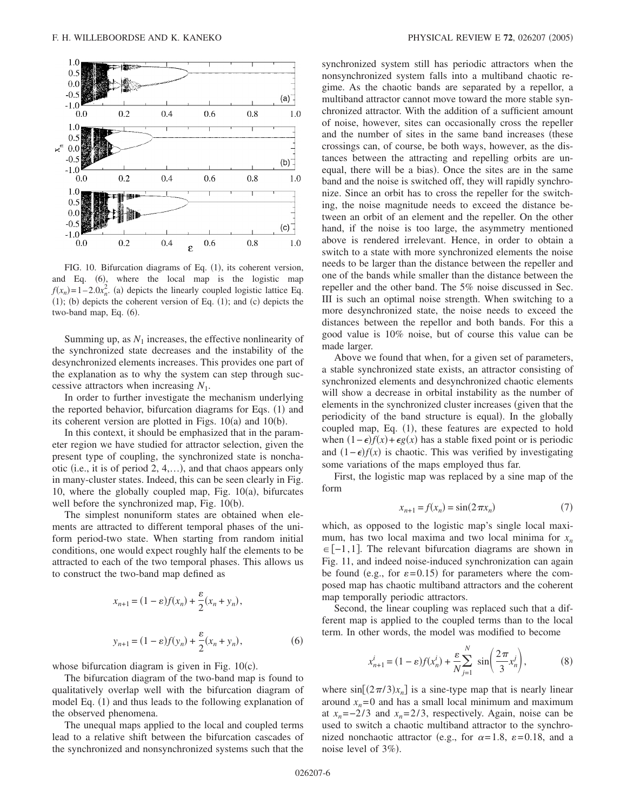

FIG. 10. Bifurcation diagrams of Eq. (1), its coherent version, and Eq. (6), where the local map is the logistic map  $f(x_n) = 1 - 2.0x_n^2$ . (a) depicts the linearly coupled logistic lattice Eq.  $(1)$ ; (b) depicts the coherent version of Eq.  $(1)$ ; and  $(c)$  depicts the two-band map, Eq. (6).

Summing up, as  $N_1$  increases, the effective nonlinearity of the synchronized state decreases and the instability of the desynchronized elements increases. This provides one part of the explanation as to why the system can step through successive attractors when increasing *N*1.

In order to further investigate the mechanism underlying the reported behavior, bifurcation diagrams for Eqs. (1) and its coherent version are plotted in Figs.  $10(a)$  and  $10(b)$ .

In this context, it should be emphasized that in the parameter region we have studied for attractor selection, given the present type of coupling, the synchronized state is nonchaotic i.e., it is of period 2, 4,…-, and that chaos appears only in many-cluster states. Indeed, this can be seen clearly in Fig. 10, where the globally coupled map, Fig.  $10(a)$ , bifurcates well before the synchronized map, Fig. 10(b).

The simplest nonuniform states are obtained when elements are attracted to different temporal phases of the uniform period-two state. When starting from random initial conditions, one would expect roughly half the elements to be attracted to each of the two temporal phases. This allows us to construct the two-band map defined as

$$
x_{n+1} = (1 - \varepsilon)f(x_n) + \frac{\varepsilon}{2}(x_n + y_n),
$$
  

$$
y_{n+1} = (1 - \varepsilon)f(y_n) + \frac{\varepsilon}{2}(x_n + y_n),
$$
 (6)

whose bifurcation diagram is given in Fig.  $10(c)$ .

The bifurcation diagram of the two-band map is found to qualitatively overlap well with the bifurcation diagram of model Eq. (1) and thus leads to the following explanation of the observed phenomena.

The unequal maps applied to the local and coupled terms lead to a relative shift between the bifurcation cascades of the synchronized and nonsynchronized systems such that the synchronized system still has periodic attractors when the nonsynchronized system falls into a multiband chaotic regime. As the chaotic bands are separated by a repellor, a multiband attractor cannot move toward the more stable synchronized attractor. With the addition of a sufficient amount of noise, however, sites can occasionally cross the repeller and the number of sites in the same band increases (these crossings can, of course, be both ways, however, as the distances between the attracting and repelling orbits are unequal, there will be a bias). Once the sites are in the same band and the noise is switched off, they will rapidly synchronize. Since an orbit has to cross the repeller for the switching, the noise magnitude needs to exceed the distance between an orbit of an element and the repeller. On the other hand, if the noise is too large, the asymmetry mentioned above is rendered irrelevant. Hence, in order to obtain a switch to a state with more synchronized elements the noise needs to be larger than the distance between the repeller and one of the bands while smaller than the distance between the repeller and the other band. The 5% noise discussed in Sec. III is such an optimal noise strength. When switching to a more desynchronized state, the noise needs to exceed the distances between the repellor and both bands. For this a good value is 10% noise, but of course this value can be made larger.

Above we found that when, for a given set of parameters, a stable synchronized state exists, an attractor consisting of synchronized elements and desynchronized chaotic elements will show a decrease in orbital instability as the number of elements in the synchronized cluster increases given that the periodicity of the band structure is equal). In the globally coupled map, Eq. (1), these features are expected to hold when  $(1 - \epsilon)f(x) + \epsilon g(x)$  has a stable fixed point or is periodic and  $(1 - \epsilon) f(x)$  is chaotic. This was verified by investigating some variations of the maps employed thus far.

First, the logistic map was replaced by a sine map of the form

$$
x_{n+1} = f(x_n) = \sin(2\pi x_n)
$$
 (7)

which, as opposed to the logistic map's single local maximum, has two local maxima and two local minima for  $x_n$  $\in [-1,1]$ . The relevant bifurcation diagrams are shown in Fig. 11, and indeed noise-induced synchronization can again be found (e.g., for  $\varepsilon = 0.15$ ) for parameters where the composed map has chaotic multiband attractors and the coherent map temporally periodic attractors.

Second, the linear coupling was replaced such that a different map is applied to the coupled terms than to the local term. In other words, the model was modified to become

$$
x_{n+1}^i = (1 - \varepsilon)f(x_n^i) + \frac{\varepsilon}{N} \sum_{j=1}^N \sin\left(\frac{2\pi}{3}x_n^j\right),\tag{8}
$$

where  $\sin[(2\pi/3)x_n]$  is a sine-type map that is nearly linear around  $x_n = 0$  and has a small local minimum and maximum at  $x_n = -2/3$  and  $x_n = 2/3$ , respectively. Again, noise can be used to switch a chaotic multiband attractor to the synchronized nonchaotic attractor (e.g., for  $\alpha = 1.8$ ,  $\varepsilon = 0.18$ , and a noise level of 3%).